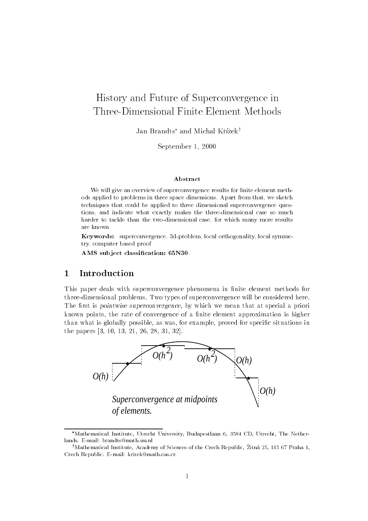# History and Future of Superconvergence inThree-Dimensional Finite Element Methods

Jan Brandts<sup>\*</sup> and Michal Křížek<sup>†</sup>

September 1, 2000

### Abstract

We will give an overview of superconvergence results for finite element methods applied to problems in three space dimensions. Apart from that, we sketch techniques that could be applied to three dimensional superconvergence questions, and indicate what exactly makes the three-dimensional case so much harder to tackle than the two-dimensional case, for which many more results are known.

Keywords: superconvergence, 3d-problem, local orthogonality, local symmetry, computer based proof

AMS subject classification: 65N30

#### 1Introduction

This paper deals with superconvergence phenomena in finite element methods for three-dimensional problems. Two types of superconvergence will be considered here. The first is *pointwise superconvergence*, by which we mean that at special a priori known points, the rate of convergence of a finite element approximation is higher than what is globally possible, as was, for example, proved for specic situations in the papers [3, 10, 13, 21, 26, 28, 31, 32].



Mathematical Institute, Utrecht University, Budapestlaan 6, 3584 CD, Utrecht, The Netherlands. E-mail: brandts@math.uu.nl

<sup>&</sup>lt;sup>†</sup>Mathematical Institute, Academy of Sciences of the Czech Republic, Žitná 25, 115 67 Praha 1, Czech Republic. E-mail: krizek@math.cas.cz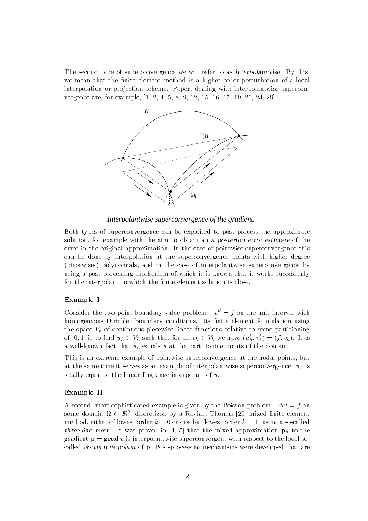The second type of superconvergence we will refer to as *interpolantwise*. By this, we mean that the finite element method is a higher order perturbation of a local interpolation or projection scheme. Papers dealing with interpolantwise superconvergence are, for example, [1, 2, 4, 5, 8, 9, 12, 15, 16, 17, 19, 20, 23, 29].



*Interpolantwise superconvergence of the gradient.*

Both types of superconvergence can be exploited to post-process the approximate solution, for example with the aim to obtain an a posteriori error estimate of the error in the original approximation. In the case of pointwise superconvergence this can be done by interpolation at the superconvergence points with higher degree (piecewise-) polynomials, and in the case of interpolantwise superconvergence by using a post-processing mechanism of which it is known that it works successfully for the interpolant to which the finite element solution is close.

### Example I

Consider the two-point boundary value problem  $-u'' = f$  on the unit interval with homogeneous Dirichlet boundary conditions. Its finite element formulation using the space  $V<sub>h</sub>$  of continuous piecewise linear functions relative to some partitioning of  $[0,1]$  is to find  $u_h \in V_h$  such that for all  $v_h \in V_h$  we have  $(u'_h, v'_h) = (f, v_h)$ . It is a well-known fact that  $u_h$  equals u at the partitioning points of the domain.

This is an extreme example of pointwise superconvergence at the nodal points, but at the same time it serves as an example of interpolantwise superconvergence:  $u_h$  is locally equal to the linear Lagrange interpolant of u.

### Example II

A second, more sophisticated example is given by the Poisson problem  $-\Delta u = f$  on some domain  $\Omega \subset I\!\!R^+$ , discretized by a Kaviart-Thomas [25] mixed finite element  $\blacksquare$ method, either of lowest order  $k = 0$  or one but lowest order  $k = 1$ , using a so-called three-line mesh. It was proved in [4, 5] that the mixed approximation  $\mathbf{p}_h$  to the gradient  $p = grad u$  is interpolantwise superconvergent with respect to the local socalled Fortin interpolant of p. Post-processing mechanisms were developed that are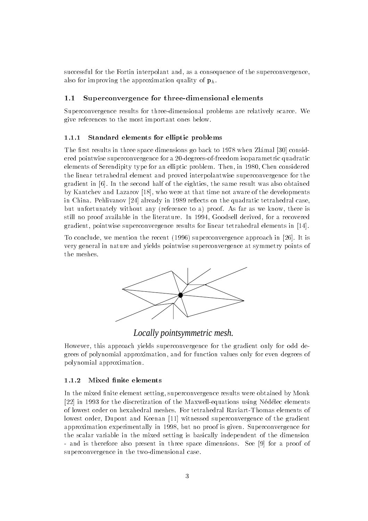successful for the Fortin interpolant and, as a consequence of the superconvergence, also for improving the approximation quality of  $\mathbf{p}_h$ .

### 1.1 Superconvergence for three-dimensional elements

Superconvergence results for three-dimensional problems are relatively scarce. We give references to the most important ones below.

#### 1.1.1Standard elements for elliptic problems

The first results in three space dimensions go back to 1978 when Zlamal [30] considered pointwise superconvergence for a 20-degrees-of-freedom isoparametric quadratic elements of Serendipity type for an elliptic problem. Then, in 1980, Chen considered the linear tetrahedral element and proved interpolantwise superconvergence for the gradient in [6]. In the second half of the eighties, the same result was also obtained by Kantchev and Lazarov [18], who were at that time not aware of the developments in China. Pehlivanov [24] already in 1989 reflects on the quadratic tetrahedral case, but unfortunately without any (reference to a) proof. As far as we know, there is still no proof available in the literature. In 1994, Goodsell derived, for a recovered gradient, pointwise superconvergence results for linear tetrahedral elements in [14].

To conclude, we mention the recent (1996) superconvergence approach in [26]. It is very general in nature and yields pointwise superconvergence at symmetry points of the meshes.



# *Locally pointsymmetric mesh.*

However, this approach yields superconvergence for the gradient only for odd degrees of polynomial approximation, and for function values only for even degrees of polynomial approximation.

#### 1.1.2Mixed finite elements

In the mixed finite element setting, superconvergence results were obtained by Monk [22] in 1993 for the discretization of the Maxwell-equations using Nedelec elements of lowest order on hexahedral meshes. For tetrahedral Raviart-Thomas elements of lowest order, Dupont and Keenan [11] witnessed superconvergence of the gradient approximation experimentally in 1998, but no proof is given. Superconvergence for the scalar variable in the mixed setting is basically independent of the dimension - and is therefore also present in three space dimensions. See [9] for a proof of superconvergence in the two-dimensional case.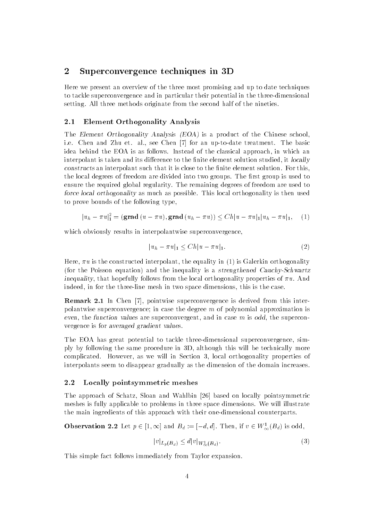#### 2Superconvergence techniques in 3D

Here we present an overview of the three most promising and up to date techniques to tackle superconvergence and in particular their potential in the three-dimensional setting. All three methods originate from the second half of the nineties.

#### 2.1 Element Orthogonality Analysis

The Element Orthogonality Analysis (EOA) is a product of the Chinese school, i.e. Chen and Zhu et. al., see Chen [7] for an up-to-date treatment. The basic idea behind the EOA is as follows. Instead of the classical approach, in which an interpolant is taken and its difference to the finite element solution studied, it *locally* constructs an interpolant such that it is close to the finite element solution. For this, the local degrees of freedom are divided into two groups. The first group is used to ensure the required global regularity. The remaining degrees of freedom are used to force local orthogonality as much as possible. This local orthogonality is then used to prove bounds of the following type,

$$
|u_h - \pi u|^2_1 = (\text{grad } (u - \pi u), \text{grad } (u_h - \pi u)) \le Ch|u - \pi u|_1|u_h - \pi u|_1, \quad (1)
$$

which obviously results in interpolantwise superconvergence,

$$
|u_h - \pi u|_1 \le Ch|u - \pi u|_1. \tag{2}
$$

Here,  $\pi u$  is the constructed interpolant, the equality in (1) is Galerkin orthogonality (for the Poisson equation) and the inequality is a strengthened Cauchy-Schwartz inequality, that hopefully follows from the local orthogonality properties of  $\pi u$ . And indeed, in for the three-line mesh in two space dimensions, this is the case.

Remark 2.1 In Chen [7], pointwise superconvergence is derived from this interpolantwise superconvergence; in case the degree <sup>m</sup> of polynomial approximation is even, the function values are superconvergent, and in case  $m$  is odd, the superconvergence is for averaged gradient values.

The EOA has great potential to tackle three-dimensional superconvergence, simply by following the same procedure in 3D, although this will be technically more complicated. However, as we will in Section 3, local orthogonality properties of interpolants seem to disappear gradually as the dimension of the domain increases.

### 2.2 Locally pointsymmetric meshes

The approach of Schatz, Sloan and Wahlbin [26] based on locally pointsymmetric meshes is fully applicable to problems in three space dimensions. We will illustrate the main ingredients of this approach with their one-dimensional counterparts.

**Observation 2.2** Let  $p \in [1,\infty]$  and  $B_d := [-a,a]$ . Then, if  $v \in W_{\infty}(B_d)$  is odd,

$$
|v|_{L_p(B_d)} \le d |v|_{W^1_{\infty}(B_d)}.
$$
\n(3)

This simple fact follows immediately from Taylor expansion.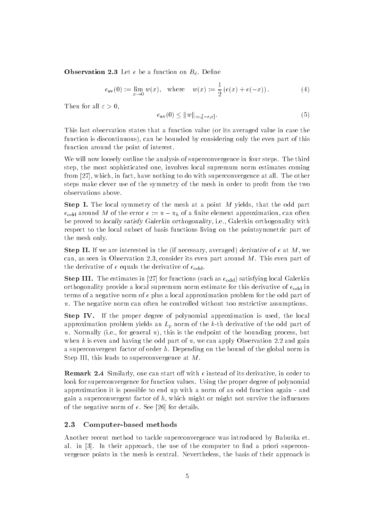**Observation 2.3** Let  $e$  be a function on  $D_d$ . Define

$$
e_{\rm av}(0) := \lim_{x \to 0} w(x), \quad \text{where} \quad w(x) := \frac{1}{2} \left( e(x) + e(-x) \right). \tag{4}
$$

Then for all  $\varepsilon > 0$ ,

$$
e_{\mathbf{av}}(0) \le \|w\|_{\infty, [-\varepsilon, \varepsilon]}.\tag{5}
$$

This last observation states that a function value (or its averaged value in case the function is discontinuous), can be bounded by considering only the even part of this function around the point of interest.

We will now loosely outline the analysis of superconvergence in four steps. The third step, the most sophisticated one, involves local supremum norm estimates coming from [27], which, in fact, have nothing to do with superconvergence at all. The other steps make clever use of the symmetry of the mesh in order to profit from the two observations above.

Step I. The local symmetry of the mesh at a point <sup>M</sup> yields, that the odd part  $e_{\text{odd}}$  around M of the error  $e := u - u_h$  of a finite element approximation, can often be proved to locally satisfy Galerkin orthogonality, i.e., Galerkin orthogonality with respect to the local subset of basis functions living on the pointsymmetric part of the mesh only.

 $S$  is the mean interested in the (if necessary, averaged) derivative of  $c$  at  $M$  , we see can, as seen in Observation 2.3, consider its even part around M. This even part of the derivative of e equals the derivative of  $e_{\text{odd}}$ .

 $S$ tep III. The estimates in [27] for functions (such as  $\epsilon_{\text{odd}}$ ) satisfying local Galerkin orthogonality provide a local supremum norm estimate for this derivative of  $e_{odd}$  in terms of a negative norm of <sup>e</sup> plus a local approximation problem for the odd part of u. The negative norm can often be controlled without too restrictive assumptions.

Step IV. If the proper degree of polynomial approximation is used, the local approximation problem yields an  $L_p$  norm of the k-th derivative of the odd part of u. Normally (i.e., for general u), this is the endpoint of the bounding process, but when  $k$  is even and having the odd part of  $u$ , we can apply Observation 2.2 and gain a superconvergent factor of order h. Depending on the bound of the global norm in Step III, this leads to superconvergence at M.

**Remark 2.4** Similarly, one can start on with e instead of its derivative, in order to look for superconvergence for function values. Using the proper degree of polynomial approximation it is possible to end up with a norm of an odd function again - and gain a superconvergent factor of  $h$ , which might or might not survive the influences of the negative norm of e. See [26] for details.

### 2.3 Computer-based methods

Another recent method to tackle superconvergence was introduced by Babuska et. al. in [3]. In their approach, the use of the computer to find a priori superconvergence points in the mesh is central. Nevertheless, the basis of their approach is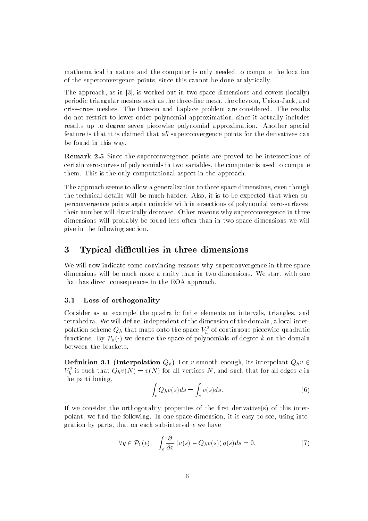mathematical in nature and the computer is only needed to compute the location of the superconvergence points, since this cannot be done analytically.

The approach, as in [3], is worked out in two space dimensions and covers (locally) periodic triangular meshes such as the three-line mesh, the chevron, Union-Jack, and criss-cross meshes. The Poisson and Laplace problem are considered. The results do not restrict to lower order polynomial approximation, since it actually includes results up to degree seven piecewise polynomial approximation. Another special feature is that it is claimed that all superconvergence points for the derivatives can be found in this way.

Remark 2.5 Since the superconvergence points are proved to be intersections of certain zero-curves of polynomials in two variables, the computer is used to compute them. This is the only computational aspect in the approach.

The approach seems to allow a generalization to three space dimensions, even though the technical details will be much harder. Also, it is to be expected that when superconvergence points again coincide with intersections of polynomial zero-surfaces, their number will drastically decrease. Other reasons why superconvergence in three dimensions will probably be found less often than in two space dimensions we will give in the following section.

#### 3Typical difficulties in three dimensions

We will now indicate some convincing reasons why superconvergence in three space dimensions will be much more a rarity than in two dimensions. We start with one that has direct consequences in the EOA approach.

## 3.1 Loss of orthogonality

Consider as an example the quadratic finite elements on intervals, triangles, and tetrahedra. We will define, independent of the dimension of the domain, a local interpolation scheme  $Q_h$  that maps onto the space  $V_h^-$  of continuous piecewise quadratic functions. By  $\mathcal{P}_k(\cdot)$  we denote the space of polynomials of degree k on the domain between the brackets.

**Definition 3.1** (Theer polation  $Q_h$ ) For v smooth enough, its interpolant  $Q_h v \in$  $V_h$  is such that  $Q_h v(N) = v(N)$  for all vertices N, and such that for all edges e in the partitioning,

$$
\int_{e} Q_h v(s) ds = \int_{e} v(s) ds.
$$
\n(6)

If we consider the orthogonality properties of the first derivative( $s$ ) of this interpolant, we find the following. In one space-dimension, it is easy to see, using integration by parts, that on each sub-interval  $e$  we have

$$
\forall q \in \mathcal{P}_1(e), \quad \int_e \frac{\partial}{\partial x} \left( v(s) - Q_h v(s) \right) q(s) ds = 0. \tag{7}
$$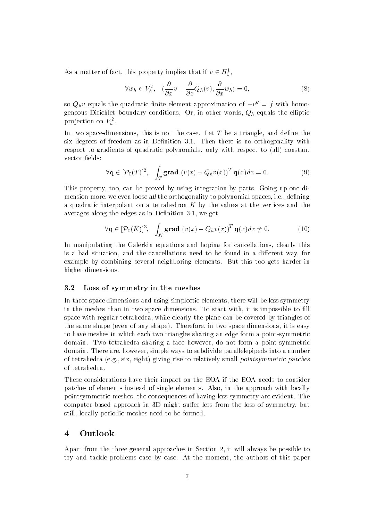As a matter of fact, this property implies that if  $v \in H_0^-,$ 

$$
\forall w_h \in V_h^2, \quad (\frac{\partial}{\partial x}v - \frac{\partial}{\partial x}Q_h(v), \frac{\partial}{\partial x}w_h) = 0,\tag{8}
$$

so  $Q_h v$  equals the quadratic finite element approximation of  $-v_{\parallel}=f$  with homogeneous Dirichlet boundary conditions. Or, in other words,  $Q_h$  equals the elliptic projection on  $\overline{v}_h$  .

In two space-dimensions, this is not the case. Let  $T$  be a triangle, and define the six degrees of freedom as in Definition 3.1. Then there is no orthogonality with respect to gradients of quadratic polynomials, only with respect to (all) constant vector fields:

$$
\forall \mathbf{q} \in [\mathcal{P}_0(T)]^2, \quad \int_T \mathbf{grad} \, (v(x) - Q_h v(x))^T \, \mathbf{q}(x) dx = 0. \tag{9}
$$

This property, too, can be proved by using integration by parts. Going up one dimension more, we even loose all the orthogonality to polynomial spaces, i.e., defining a quadratic interpolant on a tetrahedron  $K$  by the values at the vertices and the averages along the edges as in Definition 3.1, we get

$$
\forall \mathbf{q} \in [\mathcal{P}_0(K)]^3, \quad \int_K \mathbf{grad} \, (v(x) - Q_h v(x))^T \, \mathbf{q}(x) dx \neq 0. \tag{10}
$$

In manipulating the Galerkin equations and hoping for cancellations, clearly this is a bad situation, and the cancellations need to be found in a different way, for example by combining several neighboring elements. But this too gets harder in higher dimensions.

### 3.2 Loss of symmetry in the meshes

In three space dimensions and using simplectic elements, there will be less symmetry in the meshes than in two space dimensions. To start with, it is impossible to fill space with regular tetrahedra, while clearly the plane can be covered by triangles of the same shape (even of any shape). Therefore, in two space dimensions, it is easy to have meshes in which each two triangles sharing an edge form a point-symmetric domain. Two tetrahedra sharing a face however, do not form a point-symmetric domain. There are, however, simple ways to subdivide parallelepipeds into a number of tetrahedra (e.g., six, eight) giving rise to relatively small pointsymmetric patches of tetrahedra.

These considerations have their impact on the EOA if the EOA needs to consider patches of elements instead of single elements. Also, in the approach with locally pointsymmetric meshes, the consequences of having less symmetry are evident. The computer-based approach in 3D might suffer less from the loss of symmetry, but still, locally periodic meshes need to be formed.

#### 4Outlook

Apart from the three general approaches in Section 2, it will always be possible to try and tackle problems case by case. At the moment, the authors of this paper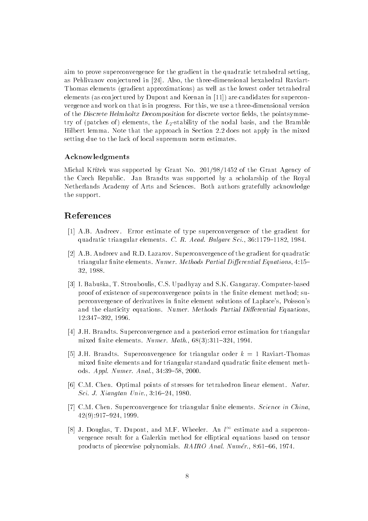aim to prove superconvergence for the gradient in the quadratic tetrahedral setting, as Pehlivanov conjectured in [24]. Also, the three-dimensional hexahedral Raviart-Thomas elements (gradient approximations) as well as the lowest order tetrahedral elements (as conjectured by Dupont and Keenan in [11]) are candidates for superconvergence and work on that is in progress. For this, we use a three-dimensional version of the Discrete Helmholtz Decomposition for discrete vector fields, the pointsymmetry of (patches of) elements, the  $L_2$ -stability of the nodal basis, and the Bramble Hilbert lemma. Note that the approach in Section 2.2 does not apply in the mixed setting due to the lack of local supremum norm estimates.

### Acknowledgments

Michal Křížek was supported by Grant No. 201/98/1452 of the Grant Agency of the Czech Republic. Jan Brandts was supported by a scholarship of the Royal Netherlands Academy of Arts and Sciences. Both authors gratefully acknowledge the support.

# References

- [1] A.B. Andreev. Error estimate of type superconvergence of the gradient for quadratic triangular elements. C. R. Acad. Bulgare Sci., 36:1179-1182, 1984.
- [2] A.B. Andreev and R.D. Lazarov. Superconvergence of the gradient for quadratic triangular finite elements. Numer. Methods Partial Differential Equations, 4:15-32, 1988.
- [3] I. Babuska, T. Strouboulis, C.S. Upadhyay and S.K. Gangaray. Computer-based proof of existence of superconvergence points in the finite element method; superconvergence of derivatives in finite element solutions of Laplace's, Poisson's and the elasticity equations. Numer. Methods Partial Differential Equations. 12:347-392, 1996.
- [4] J.H. Brandts. Superconvergence and a posteriori error estimation for triangular mixed finite elements. Numer. Math.,  $68(3):311-324$ , 1994.
- [5] J.H. Brandts. Superconvergence for triangular order  $k = 1$  Raviart-Thomas mixed finite elements and for triangular standard quadratic finite element methods. Appl. Numer. Anal., 34:39-58, 2000.
- [6] C.M. Chen. Optimal points of stresses for tetrahedron linear element. Natur. Sci. J. Xiangtan Univ., 3:16-24, 1980.
- [7] C.M. Chen. Superconvergence for triangular finite elements. Science in China,  $42(9):917{-}924, 1999.$
- [8] J. Douglas, T. Dupont, and M.F. Wheeler. An  $l^{\infty}$  estimate and a superconvergence result for a Galerkin method for elliptical equations based on tensor products of piecewise polynomials. RAIRO Anal. Numér., 8:61-66, 1974.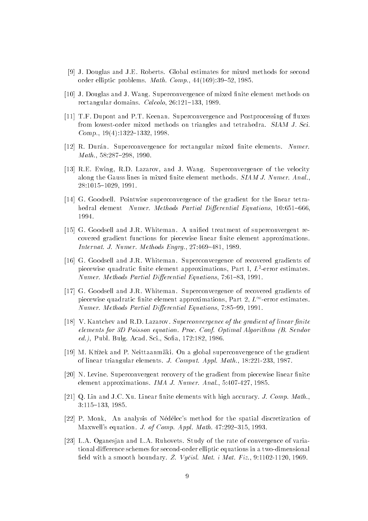- [9] J. Douglas and J.E. Roberts. Global estimates for mixed methods for second order elliptic problems. Math. Comp.,  $44(169):39{-}52, 1985$ .
- [10] J. Douglas and J. Wang. Superconvergence of mixed finite element methods on rectangular domains. Calcolo,  $26:121-133$ , 1989.
- [11] T.F. Dupont and P.T. Keenan. Superconvergence and Postprocessing of fluxes from lowest-order mixed methods on triangles and tetrahedra. SIAM J. Sci. Comp.,  $19(4):1322-1332$ , 1998.
- [12] R. Durán. Superconvergence for rectangular mixed finite elements. Numer.  $Math., 58:287–298, 1990.$
- [13] R.E. Ewing, R.D. Lazarov, and J. Wang. Superconvergence of the velocity along the Gauss lines in mixed finite element methods. SIAM J. Numer. Anal., 28:1015{1029, 1991.
- [14] G. Goodsell. Pointwise superconvergence of the gradient for the linear tetrahedral element Numer. Methods Partial Differential Equations, 10:651-666. 1994.
- [15] G. Goodsell and J.R. Whiteman. A unied treatment of superconvergent recovered gradient functions for piecewise linear finite element approximations. Internat. J. Numer. Methods Engrg.,  $27:469-481$ , 1989.
- [16] G. Goodsell and J.R. Whiteman. Superconvergence of recovered gradients of piecewise quadratic nnite element approximations,  $Part 1, L^{\text{-error}}$  estimates. Numer. Methods Partial Differential Equations, 7:61-83, 1991.
- [17] G. Goodsell and J.R. Whiteman. Superconvergence of recovered gradients of piecewise quadratic finite element approximations, Part 2,  $L^{\infty}$ -error estimates. Numer. Methods Partial Differential Equations, 7:85-99, 1991.
- [18] V. Kantchev and R.D. Lazarov. Superconvergence of the gradient of linear finite elements for 3D Poisson equation. Proc. Conf. Optimal Algorithms (B. Sendov ed.), Publ. Bulg. Acad. Sci., Sofia, 172:182, 1986.
- [19] M. Křížek and P. Neittaanmäki. On a global superconvergence of the gradient of linear triangular elements. J. Comput. Appl. Math., 18:221-233, 1987.
- [20] N. Levine. Superconvergent recovery of the gradient from piecewise linear finite element approximations. IMA J. Numer. Anal., 5:407-427, 1985.
- [21] Q. Lin and J.C. Xu. Linear finite elements with high accuracy. *J. Comp. Math.*, 3:115-133, 1985.
- [22] P. Monk, An analysis of Nedelec's method for the spatial discretization of Maxwell's equation. J. of Comp. Appl. Math.  $47:292{-}315$ , 1993.
- [23] L.A. Oganesjan and L.A. Ruhovets. Study of the rate of convergence of variational difference schemes for second-order elliptic equations in a two-dimensional field with a smooth boundary.  $\check{Z}$ . Vyčisl. Mat. i Mat. Fiz., 9:1102-1120, 1969.